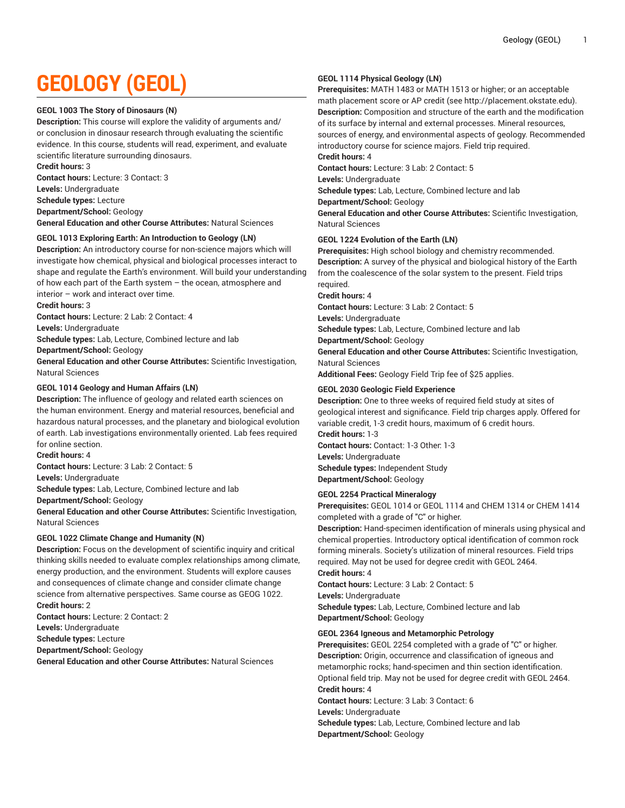# **GEOLOGY (GEOL)**

#### **GEOL 1003 The Story of Dinosaurs (N)**

**Description:** This course will explore the validity of arguments and/ or conclusion in dinosaur research through evaluating the scientific evidence. In this course, students will read, experiment, and evaluate scientific literature surrounding dinosaurs.

**Credit hours:** 3

**Contact hours:** Lecture: 3 Contact: 3

**Levels:** Undergraduate

**Schedule types:** Lecture

**Department/School:** Geology

**General Education and other Course Attributes:** Natural Sciences

# **GEOL 1013 Exploring Earth: An Introduction to Geology (LN)**

**Description:** An introductory course for non-science majors which will investigate how chemical, physical and biological processes interact to shape and regulate the Earth's environment. Will build your understanding of how each part of the Earth system – the ocean, atmosphere and interior – work and interact over time.

**Credit hours:** 3

**Contact hours:** Lecture: 2 Lab: 2 Contact: 4

**Levels:** Undergraduate

**Schedule types:** Lab, Lecture, Combined lecture and lab

**Department/School:** Geology

**General Education and other Course Attributes:** Scientific Investigation, Natural Sciences

# **GEOL 1014 Geology and Human Affairs (LN)**

**Description:** The influence of geology and related earth sciences on the human environment. Energy and material resources, beneficial and hazardous natural processes, and the planetary and biological evolution of earth. Lab investigations environmentally oriented. Lab fees required for online section.

**Credit hours:** 4

**Contact hours:** Lecture: 3 Lab: 2 Contact: 5

**Levels:** Undergraduate

**Schedule types:** Lab, Lecture, Combined lecture and lab

**Department/School:** Geology

**General Education and other Course Attributes:** Scientific Investigation, Natural Sciences

#### **GEOL 1022 Climate Change and Humanity (N)**

**Description:** Focus on the development of scientific inquiry and critical thinking skills needed to evaluate complex relationships among climate, energy production, and the environment. Students will explore causes and consequences of climate change and consider climate change science from alternative perspectives. Same course as GEOG 1022. **Credit hours:** 2

**Contact hours:** Lecture: 2 Contact: 2 **Levels:** Undergraduate **Schedule types:** Lecture **Department/School:** Geology

**General Education and other Course Attributes:** Natural Sciences

# **GEOL 1114 Physical Geology (LN)**

**Prerequisites:** MATH 1483 or MATH 1513 or higher; or an acceptable math placement score or AP credit (see http://placement.okstate.edu). **Description:** Composition and structure of the earth and the modification of its surface by internal and external processes. Mineral resources, sources of energy, and environmental aspects of geology. Recommended introductory course for science majors. Field trip required.

# **Credit hours:** 4

**Contact hours:** Lecture: 3 Lab: 2 Contact: 5

**Levels:** Undergraduate

**Schedule types:** Lab, Lecture, Combined lecture and lab

**Department/School:** Geology

**General Education and other Course Attributes:** Scientific Investigation, Natural Sciences

#### **GEOL 1224 Evolution of the Earth (LN)**

**Prerequisites:** High school biology and chemistry recommended. **Description:** A survey of the physical and biological history of the Earth from the coalescence of the solar system to the present. Field trips required.

**Credit hours:** 4

**Contact hours:** Lecture: 3 Lab: 2 Contact: 5

**Levels:** Undergraduate

**Schedule types:** Lab, Lecture, Combined lecture and lab

**Department/School:** Geology

**General Education and other Course Attributes:** Scientific Investigation, Natural Sciences

**Additional Fees:** Geology Field Trip fee of \$25 applies.

# **GEOL 2030 Geologic Field Experience**

**Description:** One to three weeks of required field study at sites of geological interest and significance. Field trip charges apply. Offered for variable credit, 1-3 credit hours, maximum of 6 credit hours. **Credit hours:** 1-3

**Contact hours:** Contact: 1-3 Other: 1-3 **Levels:** Undergraduate **Schedule types:** Independent Study **Department/School:** Geology

#### **GEOL 2254 Practical Mineralogy**

**Prerequisites:** GEOL 1014 or GEOL 1114 and CHEM 1314 or CHEM 1414 completed with a grade of "C" or higher.

**Description:** Hand-specimen identification of minerals using physical and chemical properties. Introductory optical identification of common rock forming minerals. Society's utilization of mineral resources. Field trips required. May not be used for degree credit with GEOL 2464.

**Credit hours:** 4

**Contact hours:** Lecture: 3 Lab: 2 Contact: 5 **Levels:** Undergraduate **Schedule types:** Lab, Lecture, Combined lecture and lab **Department/School:** Geology

# **GEOL 2364 Igneous and Metamorphic Petrology**

**Prerequisites:** GEOL 2254 completed with a grade of "C" or higher. **Description:** Origin, occurrence and classification of igneous and metamorphic rocks; hand-specimen and thin section identification. Optional field trip. May not be used for degree credit with GEOL 2464. **Credit hours:** 4

**Contact hours:** Lecture: 3 Lab: 3 Contact: 6

**Levels:** Undergraduate

**Schedule types:** Lab, Lecture, Combined lecture and lab **Department/School:** Geology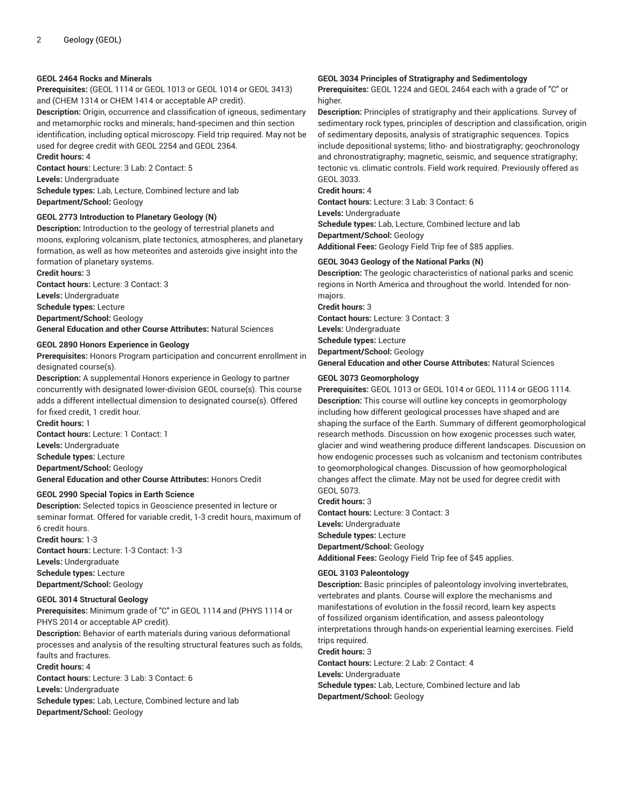## **GEOL 2464 Rocks and Minerals**

**Prerequisites:** (GEOL 1114 or GEOL 1013 or GEOL 1014 or GEOL 3413) and (CHEM 1314 or CHEM 1414 or acceptable AP credit).

**Description:** Origin, occurrence and classification of igneous, sedimentary and metamorphic rocks and minerals; hand-specimen and thin section identification, including optical microscopy. Field trip required. May not be used for degree credit with GEOL 2254 and GEOL 2364.

#### **Credit hours:** 4

**Contact hours:** Lecture: 3 Lab: 2 Contact: 5 **Levels:** Undergraduate

**Schedule types:** Lab, Lecture, Combined lecture and lab **Department/School:** Geology

# **GEOL 2773 Introduction to Planetary Geology (N)**

**Description:** Introduction to the geology of terrestrial planets and moons, exploring volcanism, plate tectonics, atmospheres, and planetary formation, as well as how meteorites and asteroids give insight into the formation of planetary systems.

**Credit hours:** 3 **Contact hours:** Lecture: 3 Contact: 3 **Levels:** Undergraduate **Schedule types:** Lecture **Department/School:** Geology **General Education and other Course Attributes:** Natural Sciences

#### **GEOL 2890 Honors Experience in Geology**

**Prerequisites:** Honors Program participation and concurrent enrollment in designated course(s).

**Description:** A supplemental Honors experience in Geology to partner concurrently with designated lower-division GEOL course(s). This course adds a different intellectual dimension to designated course(s). Offered for fixed credit, 1 credit hour.

**Credit hours:** 1 **Contact hours:** Lecture: 1 Contact: 1 **Levels:** Undergraduate **Schedule types:** Lecture **Department/School:** Geology **General Education and other Course Attributes:** Honors Credit

#### **GEOL 2990 Special Topics in Earth Science**

**Description:** Selected topics in Geoscience presented in lecture or seminar format. Offered for variable credit, 1-3 credit hours, maximum of 6 credit hours.

**Credit hours:** 1-3 **Contact hours:** Lecture: 1-3 Contact: 1-3 **Levels:** Undergraduate **Schedule types:** Lecture **Department/School:** Geology

#### **GEOL 3014 Structural Geology**

**Prerequisites:** Minimum grade of "C" in GEOL 1114 and (PHYS 1114 or PHYS 2014 or acceptable AP credit).

**Description:** Behavior of earth materials during various deformational processes and analysis of the resulting structural features such as folds, faults and fractures.

**Credit hours:** 4

**Contact hours:** Lecture: 3 Lab: 3 Contact: 6

**Levels:** Undergraduate

**Schedule types:** Lab, Lecture, Combined lecture and lab **Department/School:** Geology

#### **GEOL 3034 Principles of Stratigraphy and Sedimentology**

**Prerequisites:** GEOL 1224 and GEOL 2464 each with a grade of "C" or higher.

**Description:** Principles of stratigraphy and their applications. Survey of sedimentary rock types, principles of description and classification, origin of sedimentary deposits, analysis of stratigraphic sequences. Topics include depositional systems; litho- and biostratigraphy; geochronology and chronostratigraphy; magnetic, seismic, and sequence stratigraphy; tectonic vs. climatic controls. Field work required. Previously offered as GEOL 3033.

# **Credit hours:** 4

**Contact hours:** Lecture: 3 Lab: 3 Contact: 6

**Levels:** Undergraduate

**Schedule types:** Lab, Lecture, Combined lecture and lab

**Department/School:** Geology

**Additional Fees:** Geology Field Trip fee of \$85 applies.

# **GEOL 3043 Geology of the National Parks (N)**

**Description:** The geologic characteristics of national parks and scenic regions in North America and throughout the world. Intended for nonmajors.

**Credit hours:** 3

**Contact hours:** Lecture: 3 Contact: 3

**Levels:** Undergraduate

**Schedule types:** Lecture

**Department/School:** Geology **General Education and other Course Attributes:** Natural Sciences

#### **GEOL 3073 Geomorphology**

**Prerequisites:** GEOL 1013 or GEOL 1014 or GEOL 1114 or GEOG 1114. **Description:** This course will outline key concepts in geomorphology including how different geological processes have shaped and are shaping the surface of the Earth. Summary of different geomorphological research methods. Discussion on how exogenic processes such water, glacier and wind weathering produce different landscapes. Discussion on how endogenic processes such as volcanism and tectonism contributes to geomorphological changes. Discussion of how geomorphological changes affect the climate. May not be used for degree credit with GEOL 5073.

**Credit hours:** 3

**Contact hours:** Lecture: 3 Contact: 3 **Levels:** Undergraduate **Schedule types:** Lecture **Department/School:** Geology **Additional Fees:** Geology Field Trip fee of \$45 applies.

#### **GEOL 3103 Paleontology**

**Description:** Basic principles of paleontology involving invertebrates, vertebrates and plants. Course will explore the mechanisms and manifestations of evolution in the fossil record, learn key aspects of fossilized organism identification, and assess paleontology interpretations through hands-on experiential learning exercises. Field trips required.

**Credit hours:** 3

**Contact hours:** Lecture: 2 Lab: 2 Contact: 4 **Levels:** Undergraduate

**Schedule types:** Lab, Lecture, Combined lecture and lab **Department/School:** Geology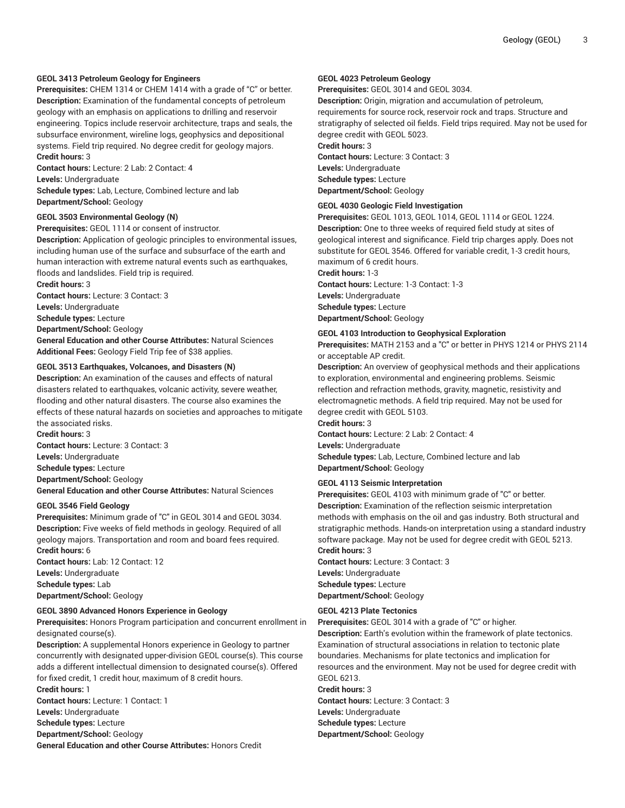# **GEOL 3413 Petroleum Geology for Engineers**

**Prerequisites:** CHEM 1314 or CHEM 1414 with a grade of "C" or better. **Description:** Examination of the fundamental concepts of petroleum geology with an emphasis on applications to drilling and reservoir engineering. Topics include reservoir architecture, traps and seals, the subsurface environment, wireline logs, geophysics and depositional systems. Field trip required. No degree credit for geology majors. **Credit hours:** 3

**Contact hours:** Lecture: 2 Lab: 2 Contact: 4 **Levels:** Undergraduate

**Schedule types:** Lab, Lecture, Combined lecture and lab **Department/School:** Geology

# **GEOL 3503 Environmental Geology (N)**

**Prerequisites:** GEOL 1114 or consent of instructor.

**Description:** Application of geologic principles to environmental issues, including human use of the surface and subsurface of the earth and human interaction with extreme natural events such as earthquakes, floods and landslides. Field trip is required.

**Credit hours:** 3

**Contact hours:** Lecture: 3 Contact: 3

**Levels:** Undergraduate

**Schedule types:** Lecture

**Department/School:** Geology

**General Education and other Course Attributes:** Natural Sciences **Additional Fees:** Geology Field Trip fee of \$38 applies.

#### **GEOL 3513 Earthquakes, Volcanoes, and Disasters (N)**

**Description:** An examination of the causes and effects of natural disasters related to earthquakes, volcanic activity, severe weather, flooding and other natural disasters. The course also examines the effects of these natural hazards on societies and approaches to mitigate the associated risks.

**Credit hours:** 3 **Contact hours:** Lecture: 3 Contact: 3 **Levels:** Undergraduate **Schedule types:** Lecture **Department/School:** Geology **General Education and other Course Attributes:** Natural Sciences

#### **GEOL 3546 Field Geology**

**Prerequisites:** Minimum grade of "C" in GEOL 3014 and GEOL 3034. **Description:** Five weeks of field methods in geology. Required of all geology majors. Transportation and room and board fees required. **Credit hours:** 6

**Contact hours:** Lab: 12 Contact: 12 **Levels:** Undergraduate **Schedule types:** Lab **Department/School:** Geology

#### **GEOL 3890 Advanced Honors Experience in Geology**

**Prerequisites:** Honors Program participation and concurrent enrollment in designated course(s).

**Description:** A supplemental Honors experience in Geology to partner concurrently with designated upper-division GEOL course(s). This course adds a different intellectual dimension to designated course(s). Offered for fixed credit, 1 credit hour, maximum of 8 credit hours. **Credit hours:** 1

**Contact hours:** Lecture: 1 Contact: 1 **Levels:** Undergraduate **Schedule types:** Lecture **Department/School:** Geology **General Education and other Course Attributes:** Honors Credit

#### **GEOL 4023 Petroleum Geology**

**Prerequisites:** GEOL 3014 and GEOL 3034.

**Description:** Origin, migration and accumulation of petroleum, requirements for source rock, reservoir rock and traps. Structure and stratigraphy of selected oil fields. Field trips required. May not be used for degree credit with GEOL 5023. **Credit hours:** 3

**Contact hours:** Lecture: 3 Contact: 3 **Levels:** Undergraduate **Schedule types:** Lecture **Department/School:** Geology

#### **GEOL 4030 Geologic Field Investigation**

**Prerequisites:** GEOL 1013, GEOL 1014, GEOL 1114 or GEOL 1224. **Description:** One to three weeks of required field study at sites of geological interest and significance. Field trip charges apply. Does not substitute for GEOL 3546. Offered for variable credit, 1-3 credit hours, maximum of 6 credit hours.

**Credit hours:** 1-3 **Contact hours:** Lecture: 1-3 Contact: 1-3 **Levels:** Undergraduate **Schedule types:** Lecture **Department/School:** Geology

# **GEOL 4103 Introduction to Geophysical Exploration**

**Prerequisites:** MATH 2153 and a "C" or better in PHYS 1214 or PHYS 2114 or acceptable AP credit.

**Description:** An overview of geophysical methods and their applications to exploration, environmental and engineering problems. Seismic reflection and refraction methods, gravity, magnetic, resistivity and electromagnetic methods. A field trip required. May not be used for degree credit with GEOL 5103.

# **Credit hours:** 3

**Contact hours:** Lecture: 2 Lab: 2 Contact: 4 **Levels:** Undergraduate **Schedule types:** Lab, Lecture, Combined lecture and lab **Department/School:** Geology

#### **GEOL 4113 Seismic Interpretation**

**Prerequisites:** GEOL 4103 with minimum grade of "C" or better. **Description:** Examination of the reflection seismic interpretation methods with emphasis on the oil and gas industry. Both structural and stratigraphic methods. Hands-on interpretation using a standard industry software package. May not be used for degree credit with GEOL 5213. **Credit hours:** 3

**Contact hours:** Lecture: 3 Contact: 3 **Levels:** Undergraduate **Schedule types:** Lecture **Department/School:** Geology

#### **GEOL 4213 Plate Tectonics**

**Prerequisites:** GEOL 3014 with a grade of "C" or higher.

**Description:** Earth's evolution within the framework of plate tectonics. Examination of structural associations in relation to tectonic plate boundaries. Mechanisms for plate tectonics and implication for resources and the environment. May not be used for degree credit with GEOL 6213.

#### **Credit hours:** 3

**Contact hours:** Lecture: 3 Contact: 3 **Levels:** Undergraduate **Schedule types:** Lecture **Department/School:** Geology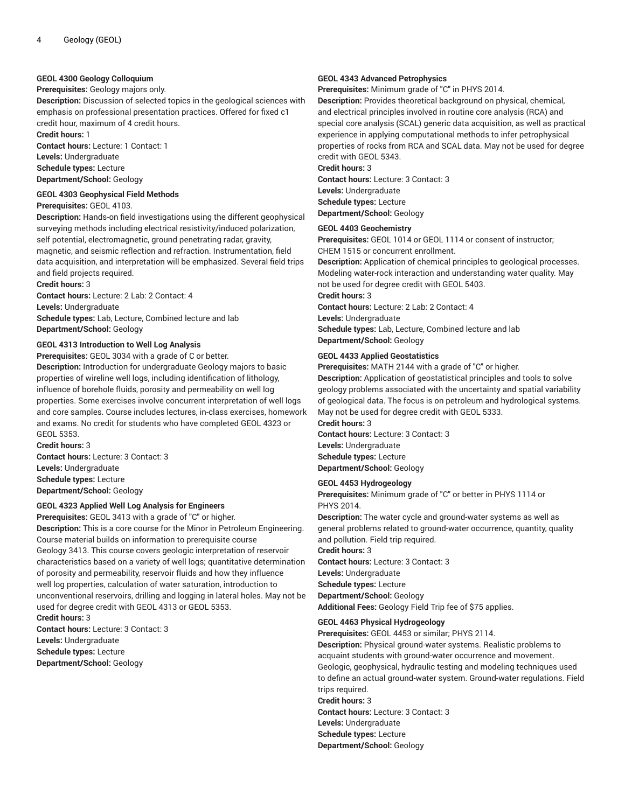# **GEOL 4300 Geology Colloquium**

#### **Prerequisites:** Geology majors only.

**Description:** Discussion of selected topics in the geological sciences with emphasis on professional presentation practices. Offered for fixed c1 credit hour, maximum of 4 credit hours.

**Credit hours:** 1

**Contact hours:** Lecture: 1 Contact: 1

**Levels:** Undergraduate

**Schedule types:** Lecture **Department/School:** Geology

**GEOL 4303 Geophysical Field Methods**

**Prerequisites:** GEOL 4103.

**Description:** Hands-on field investigations using the different geophysical surveying methods including electrical resistivity/induced polarization, self potential, electromagnetic, ground penetrating radar, gravity, magnetic, and seismic reflection and refraction. Instrumentation, field data acquisition, and interpretation will be emphasized. Several field trips and field projects required.

**Credit hours:** 3

**Contact hours:** Lecture: 2 Lab: 2 Contact: 4 **Levels:** Undergraduate **Schedule types:** Lab, Lecture, Combined lecture and lab **Department/School:** Geology

# **GEOL 4313 Introduction to Well Log Analysis**

**Prerequisites:** GEOL 3034 with a grade of C or better.

**Description:** Introduction for undergraduate Geology majors to basic properties of wireline well logs, including identification of lithology, influence of borehole fluids, porosity and permeability on well log properties. Some exercises involve concurrent interpretation of well logs and core samples. Course includes lectures, in-class exercises, homework and exams. No credit for students who have completed GEOL 4323 or GEOL 5353.

**Credit hours:** 3 **Contact hours:** Lecture: 3 Contact: 3 **Levels:** Undergraduate **Schedule types:** Lecture **Department/School:** Geology

# **GEOL 4323 Applied Well Log Analysis for Engineers**

**Prerequisites:** GEOL 3413 with a grade of "C" or higher. **Description:** This is a core course for the Minor in Petroleum Engineering. Course material builds on information to prerequisite course Geology 3413. This course covers geologic interpretation of reservoir characteristics based on a variety of well logs; quantitative determination of porosity and permeability, reservoir fluids and how they influence well log properties, calculation of water saturation, introduction to unconventional reservoirs, drilling and logging in lateral holes. May not be used for degree credit with GEOL 4313 or GEOL 5353. **Credit hours:** 3

**Contact hours:** Lecture: 3 Contact: 3 **Levels:** Undergraduate **Schedule types:** Lecture **Department/School:** Geology

#### **GEOL 4343 Advanced Petrophysics**

**Prerequisites:** Minimum grade of "C" in PHYS 2014.

**Description:** Provides theoretical background on physical, chemical, and electrical principles involved in routine core analysis (RCA) and special core analysis (SCAL) generic data acquisition, as well as practical experience in applying computational methods to infer petrophysical properties of rocks from RCA and SCAL data. May not be used for degree credit with GEOL 5343.

**Credit hours:** 3 **Contact hours:** Lecture: 3 Contact: 3 **Levels:** Undergraduate **Schedule types:** Lecture **Department/School:** Geology

#### **GEOL 4403 Geochemistry**

**Prerequisites:** GEOL 1014 or GEOL 1114 or consent of instructor; CHEM 1515 or concurrent enrollment.

**Description:** Application of chemical principles to geological processes. Modeling water-rock interaction and understanding water quality. May not be used for degree credit with GEOL 5403.

**Credit hours:** 3

**Contact hours:** Lecture: 2 Lab: 2 Contact: 4

**Levels:** Undergraduate

**Schedule types:** Lab, Lecture, Combined lecture and lab **Department/School:** Geology

# **GEOL 4433 Applied Geostatistics**

**Prerequisites:** MATH 2144 with a grade of "C" or higher.

**Description:** Application of geostatistical principles and tools to solve geology problems associated with the uncertainty and spatial variability of geological data. The focus is on petroleum and hydrological systems. May not be used for degree credit with GEOL 5333.

**Credit hours:** 3

**Contact hours:** Lecture: 3 Contact: 3 **Levels:** Undergraduate **Schedule types:** Lecture **Department/School:** Geology

#### **GEOL 4453 Hydrogeology**

**Prerequisites:** Minimum grade of "C" or better in PHYS 1114 or PHYS 2014.

**Description:** The water cycle and ground-water systems as well as general problems related to ground-water occurrence, quantity, quality and pollution. Field trip required.

**Credit hours:** 3 **Contact hours:** Lecture: 3 Contact: 3 **Levels:** Undergraduate **Schedule types:** Lecture **Department/School:** Geology

**Additional Fees:** Geology Field Trip fee of \$75 applies.

# **GEOL 4463 Physical Hydrogeology**

**Prerequisites:** GEOL 4453 or similar; PHYS 2114. **Description:** Physical ground-water systems. Realistic problems to acquaint students with ground-water occurrence and movement. Geologic, geophysical, hydraulic testing and modeling techniques used to define an actual ground-water system. Ground-water regulations. Field trips required. **Credit hours:** 3

**Contact hours:** Lecture: 3 Contact: 3

**Levels:** Undergraduate

**Schedule types:** Lecture

**Department/School:** Geology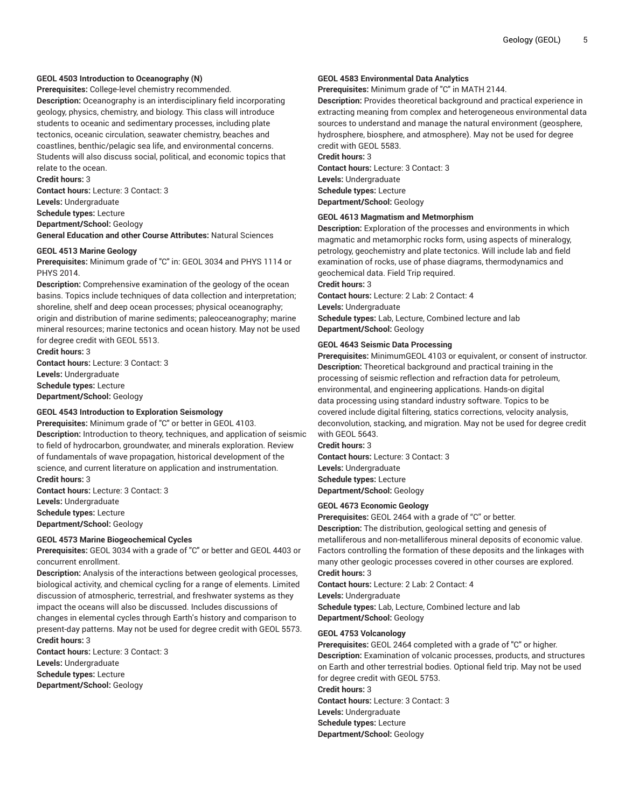# **GEOL 4503 Introduction to Oceanography (N)**

**Prerequisites:** College-level chemistry recommended.

**Description:** Oceanography is an interdisciplinary field incorporating geology, physics, chemistry, and biology. This class will introduce students to oceanic and sedimentary processes, including plate tectonics, oceanic circulation, seawater chemistry, beaches and coastlines, benthic/pelagic sea life, and environmental concerns. Students will also discuss social, political, and economic topics that relate to the ocean.

**Credit hours:** 3 **Contact hours:** Lecture: 3 Contact: 3 **Levels:** Undergraduate **Schedule types:** Lecture **Department/School:** Geology **General Education and other Course Attributes:** Natural Sciences

# **GEOL 4513 Marine Geology**

**Prerequisites:** Minimum grade of "C" in: GEOL 3034 and PHYS 1114 or PHYS 2014.

**Description:** Comprehensive examination of the geology of the ocean basins. Topics include techniques of data collection and interpretation; shoreline, shelf and deep ocean processes; physical oceanography; origin and distribution of marine sediments; paleoceanography; marine mineral resources; marine tectonics and ocean history. May not be used for degree credit with GEOL 5513.

**Credit hours:** 3 **Contact hours:** Lecture: 3 Contact: 3 **Levels:** Undergraduate **Schedule types:** Lecture **Department/School:** Geology

# **GEOL 4543 Introduction to Exploration Seismology**

**Prerequisites:** Minimum grade of "C" or better in GEOL 4103. **Description:** Introduction to theory, techniques, and application of seismic to field of hydrocarbon, groundwater, and minerals exploration. Review of fundamentals of wave propagation, historical development of the science, and current literature on application and instrumentation. **Credit hours:** 3

**Contact hours:** Lecture: 3 Contact: 3 **Levels:** Undergraduate **Schedule types:** Lecture **Department/School:** Geology

#### **GEOL 4573 Marine Biogeochemical Cycles**

**Prerequisites:** GEOL 3034 with a grade of "C" or better and GEOL 4403 or concurrent enrollment.

**Description:** Analysis of the interactions between geological processes, biological activity, and chemical cycling for a range of elements. Limited discussion of atmospheric, terrestrial, and freshwater systems as they impact the oceans will also be discussed. Includes discussions of changes in elemental cycles through Earth's history and comparison to present-day patterns. May not be used for degree credit with GEOL 5573. **Credit hours:** 3

**Contact hours:** Lecture: 3 Contact: 3 **Levels:** Undergraduate **Schedule types:** Lecture **Department/School:** Geology

#### **GEOL 4583 Environmental Data Analytics**

**Prerequisites:** Minimum grade of "C" in MATH 2144.

**Description:** Provides theoretical background and practical experience in extracting meaning from complex and heterogeneous environmental data sources to understand and manage the natural environment (geosphere, hydrosphere, biosphere, and atmosphere). May not be used for degree credit with GEOL 5583.

# **Credit hours:** 3

**Contact hours:** Lecture: 3 Contact: 3 **Levels:** Undergraduate **Schedule types:** Lecture **Department/School:** Geology

#### **GEOL 4613 Magmatism and Metmorphism**

**Description:** Exploration of the processes and environments in which magmatic and metamorphic rocks form, using aspects of mineralogy, petrology, geochemistry and plate tectonics. Will include lab and field examination of rocks, use of phase diagrams, thermodynamics and geochemical data. Field Trip required.

**Credit hours:** 3

**Contact hours:** Lecture: 2 Lab: 2 Contact: 4 **Levels:** Undergraduate **Schedule types:** Lab, Lecture, Combined lecture and lab **Department/School:** Geology

#### **GEOL 4643 Seismic Data Processing**

**Prerequisites:** MinimumGEOL 4103 or equivalent, or consent of instructor. **Description:** Theoretical background and practical training in the processing of seismic reflection and refraction data for petroleum, environmental, and engineering applications. Hands-on digital data processing using standard industry software. Topics to be covered include digital filtering, statics corrections, velocity analysis, deconvolution, stacking, and migration. May not be used for degree credit with GEOL 5643.

# **Credit hours:** 3

**Contact hours:** Lecture: 3 Contact: 3 **Levels:** Undergraduate **Schedule types:** Lecture **Department/School:** Geology

#### **GEOL 4673 Economic Geology**

**Prerequisites:** GEOL 2464 with a grade of "C" or better. **Description:** The distribution, geological setting and genesis of metalliferous and non-metalliferous mineral deposits of economic value. Factors controlling the formation of these deposits and the linkages with many other geologic processes covered in other courses are explored. **Credit hours:** 3

**Contact hours:** Lecture: 2 Lab: 2 Contact: 4 **Levels:** Undergraduate **Schedule types:** Lab, Lecture, Combined lecture and lab **Department/School:** Geology

#### **GEOL 4753 Volcanology**

**Prerequisites:** GEOL 2464 completed with a grade of "C" or higher. **Description:** Examination of volcanic processes, products, and structures on Earth and other terrestrial bodies. Optional field trip. May not be used for degree credit with GEOL 5753. **Credit hours:** 3

**Contact hours:** Lecture: 3 Contact: 3 **Levels:** Undergraduate **Schedule types:** Lecture **Department/School:** Geology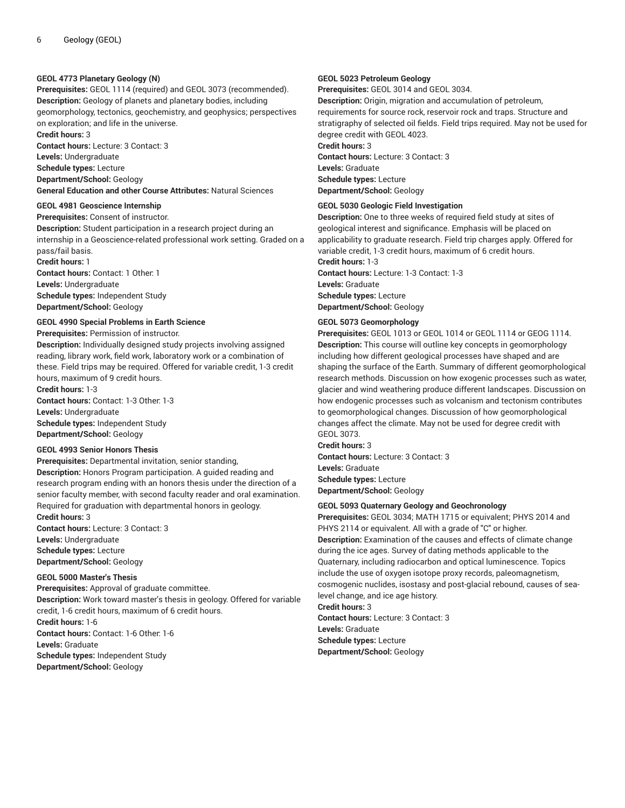# **GEOL 4773 Planetary Geology (N)**

**Prerequisites:** GEOL 1114 (required) and GEOL 3073 (recommended). **Description:** Geology of planets and planetary bodies, including geomorphology, tectonics, geochemistry, and geophysics; perspectives on exploration; and life in the universe.

**Credit hours:** 3

**Contact hours:** Lecture: 3 Contact: 3

**Levels:** Undergraduate **Schedule types:** Lecture **Department/School:** Geology **General Education and other Course Attributes:** Natural Sciences

#### **GEOL 4981 Geoscience Internship**

**Prerequisites:** Consent of instructor. **Description:** Student participation in a research project during an internship in a Geoscience-related professional work setting. Graded on a pass/fail basis. **Credit hours:** 1 **Contact hours:** Contact: 1 Other: 1 **Levels:** Undergraduate

**Schedule types:** Independent Study **Department/School:** Geology

#### **GEOL 4990 Special Problems in Earth Science**

#### **Prerequisites:** Permission of instructor.

**Description:** Individually designed study projects involving assigned reading, library work, field work, laboratory work or a combination of these. Field trips may be required. Offered for variable credit, 1-3 credit hours, maximum of 9 credit hours.

**Credit hours:** 1-3

**Contact hours:** Contact: 1-3 Other: 1-3 **Levels:** Undergraduate **Schedule types:** Independent Study **Department/School:** Geology

#### **GEOL 4993 Senior Honors Thesis**

**Prerequisites:** Departmental invitation, senior standing,

**Description:** Honors Program participation. A guided reading and research program ending with an honors thesis under the direction of a senior faculty member, with second faculty reader and oral examination. Required for graduation with departmental honors in geology.

**Credit hours:** 3 **Contact hours:** Lecture: 3 Contact: 3 **Levels:** Undergraduate **Schedule types:** Lecture **Department/School:** Geology

# **GEOL 5000 Master's Thesis**

**Prerequisites:** Approval of graduate committee. **Description:** Work toward master's thesis in geology. Offered for variable credit, 1-6 credit hours, maximum of 6 credit hours. **Credit hours:** 1-6 **Contact hours:** Contact: 1-6 Other: 1-6 **Levels:** Graduate **Schedule types:** Independent Study

#### **Department/School:** Geology

#### **GEOL 5023 Petroleum Geology**

**Prerequisites:** GEOL 3014 and GEOL 3034.

**Description:** Origin, migration and accumulation of petroleum, requirements for source rock, reservoir rock and traps. Structure and stratigraphy of selected oil fields. Field trips required. May not be used for degree credit with GEOL 4023. **Credit hours:** 3

**Contact hours:** Lecture: 3 Contact: 3 **Levels:** Graduate **Schedule types:** Lecture **Department/School:** Geology

#### **GEOL 5030 Geologic Field Investigation**

**Description:** One to three weeks of required field study at sites of geological interest and significance. Emphasis will be placed on applicability to graduate research. Field trip charges apply. Offered for variable credit, 1-3 credit hours, maximum of 6 credit hours.

**Credit hours:** 1-3 **Contact hours:** Lecture: 1-3 Contact: 1-3 **Levels:** Graduate **Schedule types:** Lecture **Department/School:** Geology

# **GEOL 5073 Geomorphology**

**Prerequisites:** GEOL 1013 or GEOL 1014 or GEOL 1114 or GEOG 1114. **Description:** This course will outline key concepts in geomorphology including how different geological processes have shaped and are shaping the surface of the Earth. Summary of different geomorphological research methods. Discussion on how exogenic processes such as water, glacier and wind weathering produce different landscapes. Discussion on how endogenic processes such as volcanism and tectonism contributes to geomorphological changes. Discussion of how geomorphological changes affect the climate. May not be used for degree credit with GEOL 3073.

**Credit hours:** 3 **Contact hours:** Lecture: 3 Contact: 3 **Levels:** Graduate **Schedule types:** Lecture **Department/School:** Geology

#### **GEOL 5093 Quaternary Geology and Geochronology**

**Prerequisites:** GEOL 3034; MATH 1715 or equivalent; PHYS 2014 and PHYS 2114 or equivalent. All with a grade of "C" or higher. **Description:** Examination of the causes and effects of climate change during the ice ages. Survey of dating methods applicable to the Quaternary, including radiocarbon and optical luminescence. Topics include the use of oxygen isotope proxy records, paleomagnetism, cosmogenic nuclides, isostasy and post-glacial rebound, causes of sealevel change, and ice age history. **Credit hours:** 3

**Contact hours:** Lecture: 3 Contact: 3 **Levels:** Graduate **Schedule types:** Lecture **Department/School:** Geology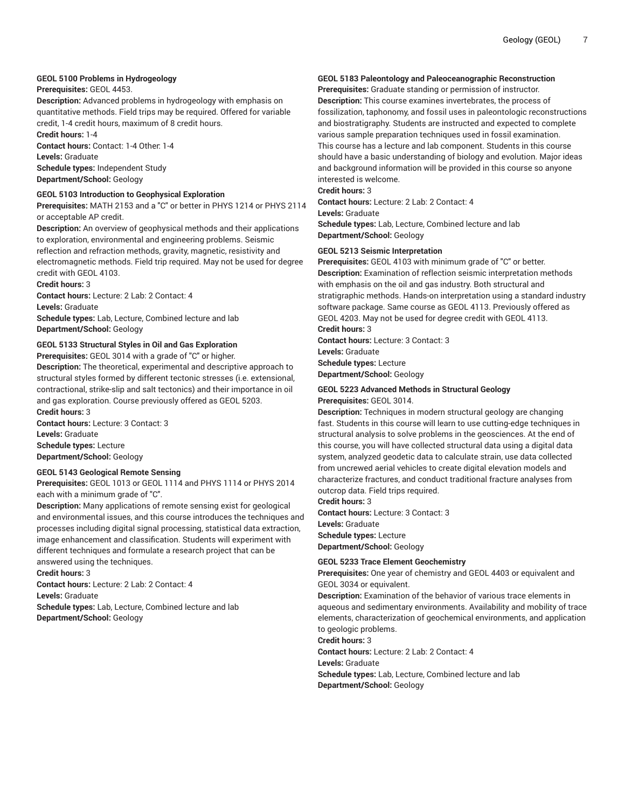# **GEOL 5100 Problems in Hydrogeology**

#### **Prerequisites:** GEOL 4453.

**Description:** Advanced problems in hydrogeology with emphasis on quantitative methods. Field trips may be required. Offered for variable credit, 1-4 credit hours, maximum of 8 credit hours.

**Credit hours:** 1-4

**Contact hours:** Contact: 1-4 Other: 1-4 **Levels:** Graduate **Schedule types:** Independent Study

**Department/School:** Geology

# **GEOL 5103 Introduction to Geophysical Exploration**

**Prerequisites:** MATH 2153 and a "C" or better in PHYS 1214 or PHYS 2114 or acceptable AP credit.

**Description:** An overview of geophysical methods and their applications to exploration, environmental and engineering problems. Seismic reflection and refraction methods, gravity, magnetic, resistivity and electromagnetic methods. Field trip required. May not be used for degree credit with GEOL 4103.

**Credit hours:** 3

**Contact hours:** Lecture: 2 Lab: 2 Contact: 4

**Levels:** Graduate

**Schedule types:** Lab, Lecture, Combined lecture and lab **Department/School:** Geology

# **GEOL 5133 Structural Styles in Oil and Gas Exploration**

**Prerequisites:** GEOL 3014 with a grade of "C" or higher.

**Description:** The theoretical, experimental and descriptive approach to structural styles formed by different tectonic stresses (i.e. extensional, contractional, strike-slip and salt tectonics) and their importance in oil and gas exploration. Course previously offered as GEOL 5203. **Credit hours:** 3

**Contact hours:** Lecture: 3 Contact: 3 **Levels:** Graduate **Schedule types:** Lecture **Department/School:** Geology

#### **GEOL 5143 Geological Remote Sensing**

**Prerequisites:** GEOL 1013 or GEOL 1114 and PHYS 1114 or PHYS 2014 each with a minimum grade of "C".

**Description:** Many applications of remote sensing exist for geological and environmental issues, and this course introduces the techniques and processes including digital signal processing, statistical data extraction, image enhancement and classification. Students will experiment with different techniques and formulate a research project that can be answered using the techniques.

**Credit hours:** 3

**Contact hours:** Lecture: 2 Lab: 2 Contact: 4

**Levels:** Graduate

**Schedule types:** Lab, Lecture, Combined lecture and lab **Department/School:** Geology

# **GEOL 5183 Paleontology and Paleoceanographic Reconstruction**

**Prerequisites:** Graduate standing or permission of instructor. **Description:** This course examines invertebrates, the process of fossilization, taphonomy, and fossil uses in paleontologic reconstructions and biostratigraphy. Students are instructed and expected to complete various sample preparation techniques used in fossil examination. This course has a lecture and lab component. Students in this course should have a basic understanding of biology and evolution. Major ideas and background information will be provided in this course so anyone interested is welcome.

# **Credit hours:** 3

**Contact hours:** Lecture: 2 Lab: 2 Contact: 4

**Levels:** Graduate

**Schedule types:** Lab, Lecture, Combined lecture and lab **Department/School:** Geology

#### **GEOL 5213 Seismic Interpretation**

**Prerequisites:** GEOL 4103 with minimum grade of "C" or better. **Description:** Examination of reflection seismic interpretation methods with emphasis on the oil and gas industry. Both structural and stratigraphic methods. Hands-on interpretation using a standard industry software package. Same course as GEOL 4113. Previously offered as GEOL 4203. May not be used for degree credit with GEOL 4113.

**Credit hours:** 3

**Contact hours:** Lecture: 3 Contact: 3 **Levels:** Graduate **Schedule types:** Lecture

**Department/School:** Geology

#### **GEOL 5223 Advanced Methods in Structural Geology Prerequisites:** GEOL 3014.

**Description:** Techniques in modern structural geology are changing fast. Students in this course will learn to use cutting-edge techniques in structural analysis to solve problems in the geosciences. At the end of this course, you will have collected structural data using a digital data system, analyzed geodetic data to calculate strain, use data collected from uncrewed aerial vehicles to create digital elevation models and characterize fractures, and conduct traditional fracture analyses from outcrop data. Field trips required.

**Credit hours:** 3

**Contact hours:** Lecture: 3 Contact: 3

**Levels:** Graduate **Schedule types:** Lecture

**Department/School:** Geology

# **GEOL 5233 Trace Element Geochemistry**

**Prerequisites:** One year of chemistry and GEOL 4403 or equivalent and GEOL 3034 or equivalent.

**Description:** Examination of the behavior of various trace elements in aqueous and sedimentary environments. Availability and mobility of trace elements, characterization of geochemical environments, and application to geologic problems.

**Credit hours:** 3

**Contact hours:** Lecture: 2 Lab: 2 Contact: 4 **Levels:** Graduate **Schedule types:** Lab, Lecture, Combined lecture and lab **Department/School:** Geology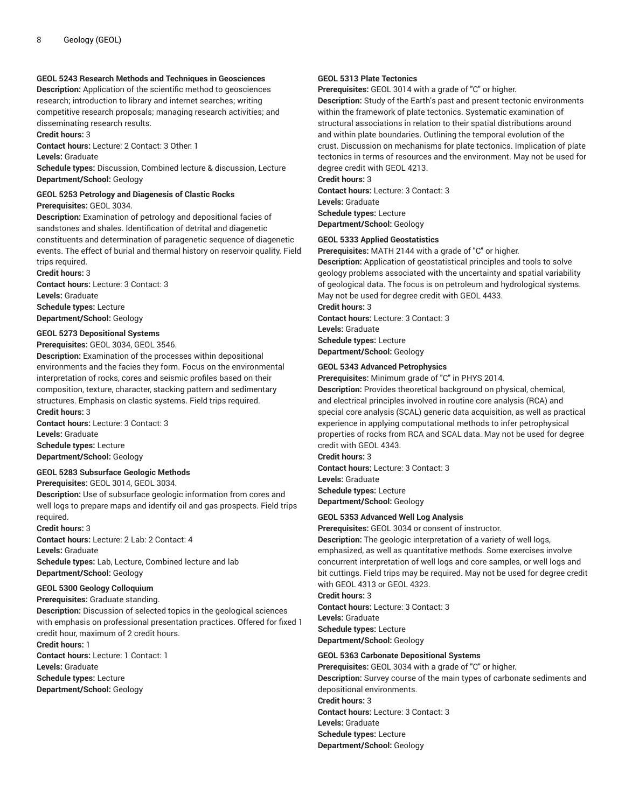# **GEOL 5243 Research Methods and Techniques in Geosciences**

**Description:** Application of the scientific method to geosciences research; introduction to library and internet searches; writing competitive research proposals; managing research activities; and disseminating research results.

**Credit hours:** 3

**Contact hours:** Lecture: 2 Contact: 3 Other: 1

**Levels:** Graduate

**Schedule types:** Discussion, Combined lecture & discussion, Lecture **Department/School:** Geology

**GEOL 5253 Petrology and Diagenesis of Clastic Rocks**

**Prerequisites:** GEOL 3034.

**Description:** Examination of petrology and depositional facies of sandstones and shales. Identification of detrital and diagenetic constituents and determination of paragenetic sequence of diagenetic events. The effect of burial and thermal history on reservoir quality. Field trips required.

**Credit hours:** 3

**Contact hours:** Lecture: 3 Contact: 3 **Levels:** Graduate **Schedule types:** Lecture **Department/School:** Geology

# **GEOL 5273 Depositional Systems**

**Prerequisites:** GEOL 3034, GEOL 3546.

**Description:** Examination of the processes within depositional environments and the facies they form. Focus on the environmental interpretation of rocks, cores and seismic profiles based on their composition, texture, character, stacking pattern and sedimentary structures. Emphasis on clastic systems. Field trips required. **Credit hours:** 3

**Contact hours:** Lecture: 3 Contact: 3 **Levels:** Graduate **Schedule types:** Lecture **Department/School:** Geology

#### **GEOL 5283 Subsurface Geologic Methods**

**Prerequisites:** GEOL 3014, GEOL 3034.

**Description:** Use of subsurface geologic information from cores and well logs to prepare maps and identify oil and gas prospects. Field trips required.

# **Credit hours:** 3

**Contact hours:** Lecture: 2 Lab: 2 Contact: 4 **Levels:** Graduate **Schedule types:** Lab, Lecture, Combined lecture and lab

**Department/School:** Geology

#### **GEOL 5300 Geology Colloquium**

**Prerequisites:** Graduate standing.

**Description:** Discussion of selected topics in the geological sciences with emphasis on professional presentation practices. Offered for fixed 1 credit hour, maximum of 2 credit hours.

**Credit hours:** 1 **Contact hours:** Lecture: 1 Contact: 1 **Levels:** Graduate **Schedule types:** Lecture **Department/School:** Geology

#### **GEOL 5313 Plate Tectonics**

**Prerequisites:** GEOL 3014 with a grade of "C" or higher.

**Description:** Study of the Earth's past and present tectonic environments within the framework of plate tectonics. Systematic examination of structural associations in relation to their spatial distributions around and within plate boundaries. Outlining the temporal evolution of the crust. Discussion on mechanisms for plate tectonics. Implication of plate tectonics in terms of resources and the environment. May not be used for degree credit with GEOL 4213.

**Credit hours:** 3 **Contact hours:** Lecture: 3 Contact: 3 **Levels:** Graduate **Schedule types:** Lecture **Department/School:** Geology

#### **GEOL 5333 Applied Geostatistics**

**Prerequisites:** MATH 2144 with a grade of "C" or higher. **Description:** Application of geostatistical principles and tools to solve geology problems associated with the uncertainty and spatial variability of geological data. The focus is on petroleum and hydrological systems. May not be used for degree credit with GEOL 4433.

**Credit hours:** 3 **Contact hours:** Lecture: 3 Contact: 3 **Levels:** Graduate **Schedule types:** Lecture **Department/School:** Geology

# **GEOL 5343 Advanced Petrophysics**

**Prerequisites:** Minimum grade of "C" in PHYS 2014.

**Description:** Provides theoretical background on physical, chemical, and electrical principles involved in routine core analysis (RCA) and special core analysis (SCAL) generic data acquisition, as well as practical experience in applying computational methods to infer petrophysical properties of rocks from RCA and SCAL data. May not be used for degree credit with GEOL 4343.

**Credit hours:** 3

**Contact hours:** Lecture: 3 Contact: 3 **Levels:** Graduate **Schedule types:** Lecture **Department/School:** Geology

#### **GEOL 5353 Advanced Well Log Analysis**

**Prerequisites:** GEOL 3034 or consent of instructor.

**Description:** The geologic interpretation of a variety of well logs, emphasized, as well as quantitative methods. Some exercises involve concurrent interpretation of well logs and core samples, or well logs and bit cuttings. Field trips may be required. May not be used for degree credit with GEOL 4313 or GEOL 4323.

**Credit hours:** 3 **Contact hours:** Lecture: 3 Contact: 3 **Levels:** Graduate **Schedule types:** Lecture **Department/School:** Geology

# **GEOL 5363 Carbonate Depositional Systems**

**Prerequisites:** GEOL 3034 with a grade of "C" or higher. **Description:** Survey course of the main types of carbonate sediments and depositional environments. **Credit hours:** 3 **Contact hours:** Lecture: 3 Contact: 3 **Levels:** Graduate **Schedule types:** Lecture **Department/School:** Geology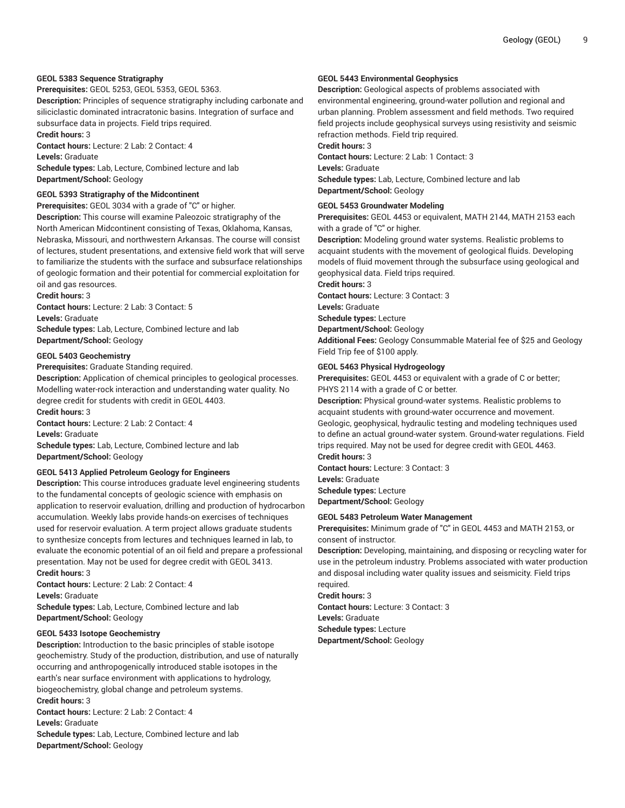# **GEOL 5383 Sequence Stratigraphy**

**Prerequisites:** GEOL 5253, GEOL 5353, GEOL 5363.

**Description:** Principles of sequence stratigraphy including carbonate and siliciclastic dominated intracratonic basins. Integration of surface and subsurface data in projects. Field trips required.

**Credit hours:** 3

**Contact hours:** Lecture: 2 Lab: 2 Contact: 4 **Levels:** Graduate

**Schedule types:** Lab, Lecture, Combined lecture and lab **Department/School:** Geology

#### **GEOL 5393 Stratigraphy of the Midcontinent**

**Prerequisites:** GEOL 3034 with a grade of "C" or higher. **Description:** This course will examine Paleozoic stratigraphy of the North American Midcontinent consisting of Texas, Oklahoma, Kansas, Nebraska, Missouri, and northwestern Arkansas. The course will consist of lectures, student presentations, and extensive field work that will serve to familiarize the students with the surface and subsurface relationships of geologic formation and their potential for commercial exploitation for oil and gas resources.

**Credit hours:** 3

**Contact hours:** Lecture: 2 Lab: 3 Contact: 5 **Levels:** Graduate

**Schedule types:** Lab, Lecture, Combined lecture and lab **Department/School:** Geology

# **GEOL 5403 Geochemistry**

**Prerequisites:** Graduate Standing required.

**Description:** Application of chemical principles to geological processes. Modelling water-rock interaction and understanding water quality. No degree credit for students with credit in GEOL 4403. **Credit hours:** 3

**Contact hours:** Lecture: 2 Lab: 2 Contact: 4

**Levels:** Graduate

**Schedule types:** Lab, Lecture, Combined lecture and lab **Department/School:** Geology

# **GEOL 5413 Applied Petroleum Geology for Engineers**

**Description:** This course introduces graduate level engineering students to the fundamental concepts of geologic science with emphasis on application to reservoir evaluation, drilling and production of hydrocarbon accumulation. Weekly labs provide hands-on exercises of techniques used for reservoir evaluation. A term project allows graduate students to synthesize concepts from lectures and techniques learned in lab, to evaluate the economic potential of an oil field and prepare a professional presentation. May not be used for degree credit with GEOL 3413. **Credit hours:** 3

**Contact hours:** Lecture: 2 Lab: 2 Contact: 4 **Levels:** Graduate

**Schedule types:** Lab, Lecture, Combined lecture and lab **Department/School:** Geology

# **GEOL 5433 Isotope Geochemistry**

**Description:** Introduction to the basic principles of stable isotope geochemistry. Study of the production, distribution, and use of naturally occurring and anthropogenically introduced stable isotopes in the earth's near surface environment with applications to hydrology, biogeochemistry, global change and petroleum systems.

**Credit hours:** 3

**Contact hours:** Lecture: 2 Lab: 2 Contact: 4 **Levels:** Graduate

**Schedule types:** Lab, Lecture, Combined lecture and lab **Department/School:** Geology

# **GEOL 5443 Environmental Geophysics**

**Description:** Geological aspects of problems associated with environmental engineering, ground-water pollution and regional and urban planning. Problem assessment and field methods. Two required field projects include geophysical surveys using resistivity and seismic refraction methods. Field trip required.

**Credit hours:** 3

**Contact hours:** Lecture: 2 Lab: 1 Contact: 3 **Levels:** Graduate **Schedule types:** Lab, Lecture, Combined lecture and lab **Department/School:** Geology

# **GEOL 5453 Groundwater Modeling**

**Prerequisites:** GEOL 4453 or equivalent, MATH 2144, MATH 2153 each with a grade of "C" or higher.

**Description:** Modeling ground water systems. Realistic problems to acquaint students with the movement of geological fluids. Developing models of fluid movement through the subsurface using geological and geophysical data. Field trips required.

**Credit hours:** 3

**Contact hours:** Lecture: 3 Contact: 3

**Levels:** Graduate

**Schedule types:** Lecture

**Department/School:** Geology

**Additional Fees:** Geology Consummable Material fee of \$25 and Geology Field Trip fee of \$100 apply.

# **GEOL 5463 Physical Hydrogeology**

**Prerequisites:** GEOL 4453 or equivalent with a grade of C or better; PHYS 2114 with a grade of C or better.

**Description:** Physical ground-water systems. Realistic problems to acquaint students with ground-water occurrence and movement. Geologic, geophysical, hydraulic testing and modeling techniques used to define an actual ground-water system. Ground-water regulations. Field trips required. May not be used for degree credit with GEOL 4463. **Credit hours:** 3

**Contact hours:** Lecture: 3 Contact: 3 **Levels:** Graduate **Schedule types:** Lecture

**Department/School:** Geology

#### **GEOL 5483 Petroleum Water Management**

**Prerequisites:** Minimum grade of "C" in GEOL 4453 and MATH 2153, or consent of instructor.

**Description:** Developing, maintaining, and disposing or recycling water for use in the petroleum industry. Problems associated with water production and disposal including water quality issues and seismicity. Field trips required.

**Credit hours:** 3 **Contact hours:** Lecture: 3 Contact: 3 **Levels:** Graduate **Schedule types:** Lecture **Department/School:** Geology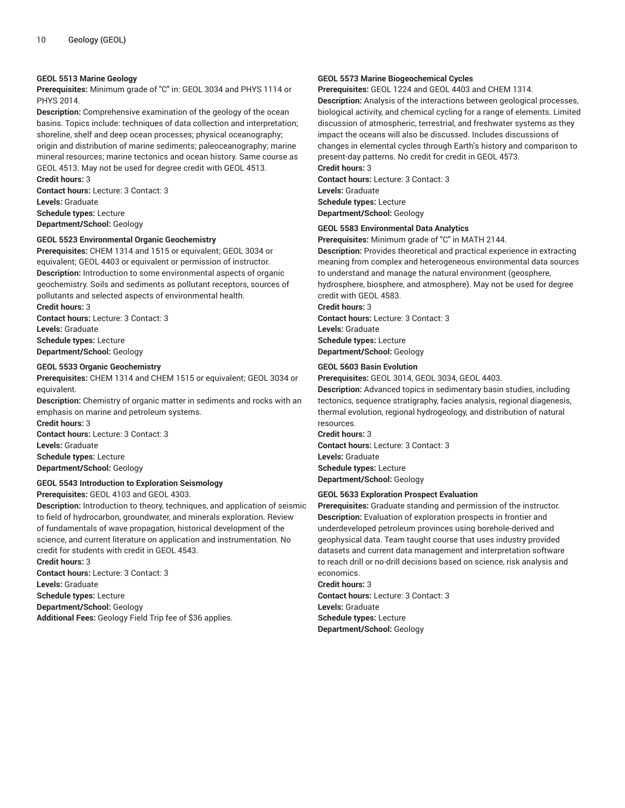#### **GEOL 5513 Marine Geology**

**Prerequisites:** Minimum grade of "C" in: GEOL 3034 and PHYS 1114 or PHYS 2014.

**Description:** Comprehensive examination of the geology of the ocean basins. Topics include: techniques of data collection and interpretation; shoreline, shelf and deep ocean processes; physical oceanography; origin and distribution of marine sediments; paleoceanography; marine mineral resources; marine tectonics and ocean history. Same course as GEOL 4513. May not be used for degree credit with GEOL 4513. **Credit hours:** 3

**Contact hours:** Lecture: 3 Contact: 3 **Levels:** Graduate **Schedule types:** Lecture **Department/School:** Geology

#### **GEOL 5523 Environmental Organic Geochemistry**

**Prerequisites:** CHEM 1314 and 1515 or equivalent; GEOL 3034 or equivalent; GEOL 4403 or equivalent or permission of instructor. **Description:** Introduction to some environmental aspects of organic geochemistry. Soils and sediments as pollutant receptors, sources of pollutants and selected aspects of environmental health.

**Credit hours:** 3 **Contact hours:** Lecture: 3 Contact: 3 **Levels:** Graduate **Schedule types:** Lecture **Department/School:** Geology

#### **GEOL 5533 Organic Geochemistry**

**Prerequisites:** CHEM 1314 and CHEM 1515 or equivalent; GEOL 3034 or equivalent.

**Description:** Chemistry of organic matter in sediments and rocks with an emphasis on marine and petroleum systems.

**Credit hours:** 3 **Contact hours:** Lecture: 3 Contact: 3 **Levels:** Graduate **Schedule types:** Lecture **Department/School:** Geology

#### **GEOL 5543 Introduction to Exploration Seismology**

**Prerequisites:** GEOL 4103 and GEOL 4303.

**Description:** Introduction to theory, techniques, and application of seismic to field of hydrocarbon, groundwater, and minerals exploration. Review of fundamentals of wave propagation, historical development of the science, and current literature on application and instrumentation. No credit for students with credit in GEOL 4543.

**Credit hours:** 3 **Contact hours:** Lecture: 3 Contact: 3 **Levels:** Graduate **Schedule types:** Lecture **Department/School:** Geology **Additional Fees:** Geology Field Trip fee of \$36 applies.

#### **GEOL 5573 Marine Biogeochemical Cycles**

**Prerequisites:** GEOL 1224 and GEOL 4403 and CHEM 1314.

**Description:** Analysis of the interactions between geological processes, biological activity, and chemical cycling for a range of elements. Limited discussion of atmospheric, terrestrial, and freshwater systems as they impact the oceans will also be discussed. Includes discussions of changes in elemental cycles through Earth's history and comparison to present-day patterns. No credit for credit in GEOL 4573.

**Credit hours:** 3 **Contact hours:** Lecture: 3 Contact: 3 **Levels:** Graduate **Schedule types:** Lecture **Department/School:** Geology

#### **GEOL 5583 Environmental Data Analytics**

**Prerequisites:** Minimum grade of "C" in MATH 2144.

**Description:** Provides theoretical and practical experience in extracting meaning from complex and heterogeneous environmental data sources to understand and manage the natural environment (geosphere, hydrosphere, biosphere, and atmosphere). May not be used for degree credit with GEOL 4583.

**Credit hours:** 3 **Contact hours:** Lecture: 3 Contact: 3 **Levels:** Graduate

**Schedule types:** Lecture **Department/School:** Geology

#### **GEOL 5603 Basin Evolution**

**Prerequisites:** GEOL 3014, GEOL 3034, GEOL 4403.

**Description:** Advanced topics in sedimentary basin studies, including tectonics, sequence stratigraphy, facies analysis, regional diagenesis, thermal evolution, regional hydrogeology, and distribution of natural resources.

**Credit hours:** 3 **Contact hours:** Lecture: 3 Contact: 3 **Levels:** Graduate **Schedule types:** Lecture **Department/School:** Geology

#### **GEOL 5633 Exploration Prospect Evaluation**

**Prerequisites:** Graduate standing and permission of the instructor. **Description:** Evaluation of exploration prospects in frontier and underdeveloped petroleum provinces using borehole-derived and geophysical data. Team taught course that uses industry provided datasets and current data management and interpretation software to reach drill or no-drill decisions based on science, risk analysis and economics.

**Credit hours:** 3 **Contact hours:** Lecture: 3 Contact: 3 **Levels:** Graduate **Schedule types:** Lecture **Department/School:** Geology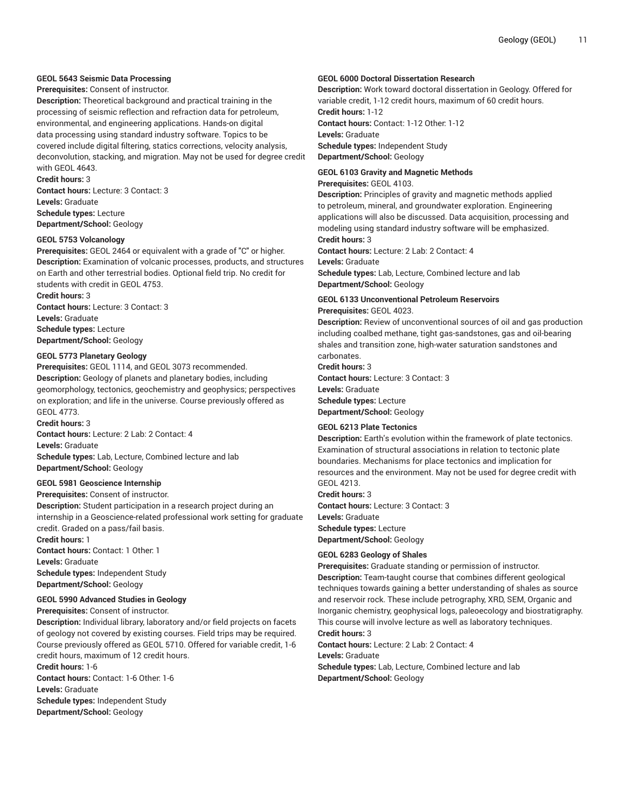# **GEOL 5643 Seismic Data Processing**

# **Prerequisites:** Consent of instructor.

**Description:** Theoretical background and practical training in the processing of seismic reflection and refraction data for petroleum, environmental, and engineering applications. Hands-on digital data processing using standard industry software. Topics to be covered include digital filtering, statics corrections, velocity analysis, deconvolution, stacking, and migration. May not be used for degree credit with GEOL 4643.

**Credit hours:** 3 **Contact hours:** Lecture: 3 Contact: 3

**Levels:** Graduate **Schedule types:** Lecture **Department/School:** Geology

**GEOL 5753 Volcanology**

**Prerequisites:** GEOL 2464 or equivalent with a grade of "C" or higher. **Description:** Examination of volcanic processes, products, and structures on Earth and other terrestrial bodies. Optional field trip. No credit for students with credit in GEOL 4753.

**Credit hours:** 3 **Contact hours:** Lecture: 3 Contact: 3 **Levels:** Graduate **Schedule types:** Lecture **Department/School:** Geology

# **GEOL 5773 Planetary Geology**

**Prerequisites:** GEOL 1114, and GEOL 3073 recommended. **Description:** Geology of planets and planetary bodies, including geomorphology, tectonics, geochemistry and geophysics; perspectives on exploration; and life in the universe. Course previously offered as GEOL 4773.

**Credit hours:** 3

**Contact hours:** Lecture: 2 Lab: 2 Contact: 4 **Levels:** Graduate **Schedule types:** Lab, Lecture, Combined lecture and lab **Department/School:** Geology

#### **GEOL 5981 Geoscience Internship**

**Prerequisites:** Consent of instructor.

**Description:** Student participation in a research project during an internship in a Geoscience-related professional work setting for graduate credit. Graded on a pass/fail basis. **Credit hours:** 1

**Contact hours:** Contact: 1 Other: 1 **Levels:** Graduate **Schedule types:** Independent Study **Department/School:** Geology

#### **GEOL 5990 Advanced Studies in Geology**

**Prerequisites:** Consent of instructor.

**Description:** Individual library, laboratory and/or field projects on facets of geology not covered by existing courses. Field trips may be required. Course previously offered as GEOL 5710. Offered for variable credit, 1-6 credit hours, maximum of 12 credit hours.

**Credit hours:** 1-6

**Contact hours:** Contact: 1-6 Other: 1-6

**Levels:** Graduate

**Schedule types:** Independent Study **Department/School:** Geology

#### **GEOL 6000 Doctoral Dissertation Research**

**Description:** Work toward doctoral dissertation in Geology. Offered for variable credit, 1-12 credit hours, maximum of 60 credit hours. **Credit hours:** 1-12 **Contact hours:** Contact: 1-12 Other: 1-12 **Levels:** Graduate **Schedule types:** Independent Study **Department/School:** Geology

**GEOL 6103 Gravity and Magnetic Methods**

#### **Prerequisites:** GEOL 4103.

**Description:** Principles of gravity and magnetic methods applied to petroleum, mineral, and groundwater exploration. Engineering applications will also be discussed. Data acquisition, processing and modeling using standard industry software will be emphasized. **Credit hours:** 3

**Contact hours:** Lecture: 2 Lab: 2 Contact: 4

#### **Levels:** Graduate

**Schedule types:** Lab, Lecture, Combined lecture and lab **Department/School:** Geology

# **GEOL 6133 Unconventional Petroleum Reservoirs**

**Prerequisites:** GEOL 4023.

**Description:** Review of unconventional sources of oil and gas production including coalbed methane, tight gas-sandstones, gas and oil-bearing shales and transition zone, high-water saturation sandstones and carbonates.

**Credit hours:** 3 **Contact hours:** Lecture: 3 Contact: 3 **Levels:** Graduate **Schedule types:** Lecture **Department/School:** Geology

#### **GEOL 6213 Plate Tectonics**

**Description:** Earth's evolution within the framework of plate tectonics. Examination of structural associations in relation to tectonic plate boundaries. Mechanisms for place tectonics and implication for resources and the environment. May not be used for degree credit with GEOL 4213.

**Credit hours:** 3 **Contact hours:** Lecture: 3 Contact: 3 **Levels:** Graduate **Schedule types:** Lecture **Department/School:** Geology

#### **GEOL 6283 Geology of Shales**

**Prerequisites:** Graduate standing or permission of instructor. **Description:** Team-taught course that combines different geological techniques towards gaining a better understanding of shales as source and reservoir rock. These include petrography, XRD, SEM, Organic and Inorganic chemistry, geophysical logs, paleoecology and biostratigraphy. This course will involve lecture as well as laboratory techniques.

# **Credit hours:** 3

**Contact hours:** Lecture: 2 Lab: 2 Contact: 4 **Levels:** Graduate

**Schedule types:** Lab, Lecture, Combined lecture and lab **Department/School:** Geology